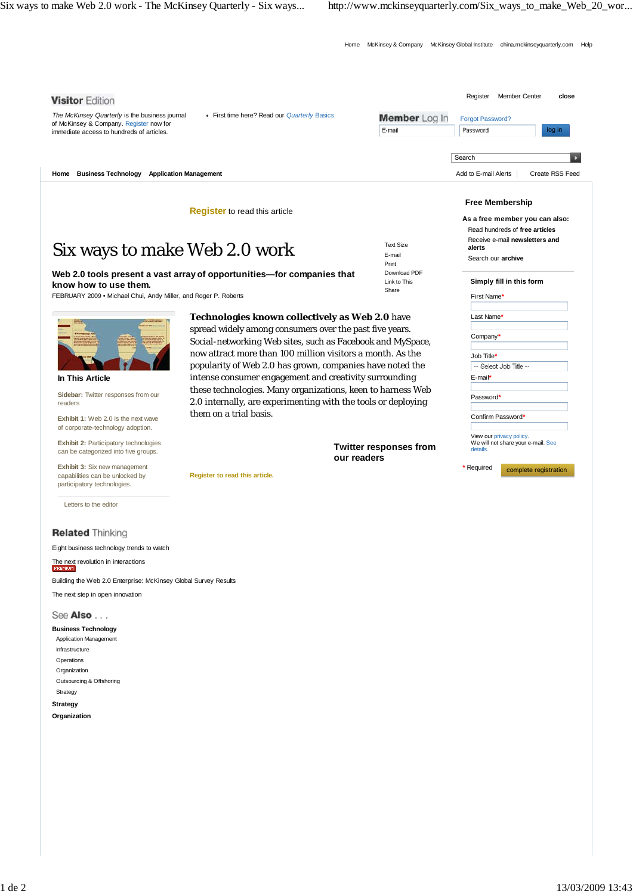Home McKinsey & Company McKinsey Global Institute china.mckinseyquarterly.com Help

| <b>Visitor Edition</b>                                                                                                |                                                                                                                          |                                                | Register<br><b>Member Center</b><br>close |                                |  |
|-----------------------------------------------------------------------------------------------------------------------|--------------------------------------------------------------------------------------------------------------------------|------------------------------------------------|-------------------------------------------|--------------------------------|--|
| The McKinsey Quarterly is the business journal                                                                        | • First time here? Read our Quarterly Basics.                                                                            | Member Log In                                  | Forgot Password?                          |                                |  |
| of McKinsey & Company. Register now for<br>immediate access to hundreds of articles.                                  |                                                                                                                          | E-mail                                         | Password                                  | log in                         |  |
|                                                                                                                       |                                                                                                                          |                                                |                                           |                                |  |
|                                                                                                                       |                                                                                                                          |                                                | Search                                    |                                |  |
| <b>Business Technology Application Management</b><br>Home                                                             |                                                                                                                          |                                                | Add to E-mail Alerts                      | Create RSS Feed                |  |
|                                                                                                                       |                                                                                                                          |                                                | <b>Free Membership</b>                    |                                |  |
| <b>Register</b> to read this article                                                                                  |                                                                                                                          |                                                | As a free member you can also:            |                                |  |
|                                                                                                                       |                                                                                                                          |                                                |                                           | Read hundreds of free articles |  |
| <b>Text Size</b>                                                                                                      |                                                                                                                          | Receive e-mail newsletters and<br>alerts       |                                           |                                |  |
| Six ways to make Web 2.0 work<br>E-mail                                                                               |                                                                                                                          | Search our archive                             |                                           |                                |  |
| Print<br>Download PDF<br>Web 2.0 tools present a vast array of opportunities—for companies that                       |                                                                                                                          |                                                |                                           |                                |  |
| Link to This<br>know how to use them.<br>Share<br>FEBRUARY 2009 . Michael Chui, Andy Miller, and Roger P. Roberts     |                                                                                                                          |                                                | Simply fill in this form<br>First Name*   |                                |  |
|                                                                                                                       |                                                                                                                          |                                                |                                           |                                |  |
| <b>Technologies known collectively as Web 2.0 have</b>                                                                |                                                                                                                          |                                                | Last Name*                                |                                |  |
|                                                                                                                       | spread widely among consumers over the past five years.                                                                  |                                                |                                           |                                |  |
|                                                                                                                       | Social-networking Web sites, such as Facebook and MySpace,<br>now attract more than 100 million visitors a month. As the |                                                | Company*                                  |                                |  |
|                                                                                                                       |                                                                                                                          |                                                | Job Title <sup>*</sup>                    |                                |  |
| popularity of Web 2.0 has grown, companies have noted the                                                             |                                                                                                                          | -- Select Job Title --                         |                                           |                                |  |
| In This Article                                                                                                       | intense consumer engagement and creativity surrounding                                                                   |                                                | E-mail*                                   |                                |  |
| Sidebar: Twitter responses from our                                                                                   | these technologies. Many organizations, keen to harness Web                                                              |                                                | Password*                                 |                                |  |
| 2.0 internally, are experimenting with the tools or deploying<br>readers<br>them on a trial basis.                    |                                                                                                                          |                                                |                                           |                                |  |
| <b>Exhibit 1:</b> Web 2.0 is the next wave                                                                            |                                                                                                                          | Confirm Password*                              |                                           |                                |  |
| of corporate-technology adoption.                                                                                     |                                                                                                                          |                                                | View our privacy policy.                  |                                |  |
| <b>Exhibit 2: Participatory technologies</b><br><b>Twitter responses from</b><br>can be categorized into five groups. |                                                                                                                          | We will not share your e-mail. See<br>details. |                                           |                                |  |
| <b>Exhibit 3:</b> Six new management                                                                                  | our readers                                                                                                              |                                                | Required                                  |                                |  |
|                                                                                                                       |                                                                                                                          |                                                |                                           | complete registration          |  |

**Exhibit 3:** Six new management capabilities can be unlocked by participatory technologies.

Letters to the editor

## **Related Thinking**

Eight business technology trends to watch

The next revolution in interactions<br>**FREMIUM** 

Building the Web 2.0 Enterprise: McKinsey Global Survey Results

The next step in open innovation

## See Also...

**Business Technology** Application Management Infrastructure Operations Organization Outsourcing & Offshoring Strategy

**Strategy**

**Organization**

**Register to read this article.**